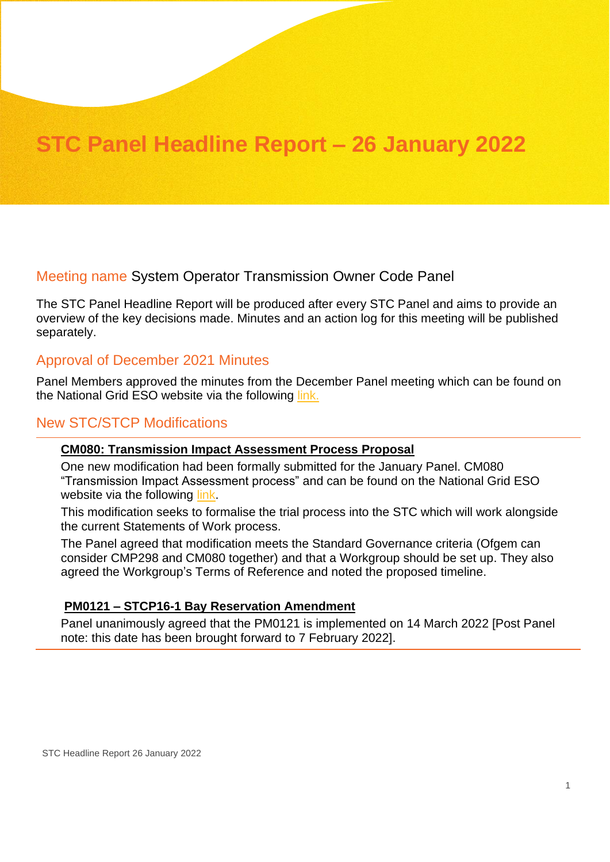# **STC Panel Headline Report – 26 January 2022**

# Meeting name System Operator Transmission Owner Code Panel

The STC Panel Headline Report will be produced after every STC Panel and aims to provide an overview of the key decisions made. Minutes and an action log for this meeting will be published separately.

# Approval of December 2021 Minutes

Panel Members approved the minutes from the December Panel meeting which can be found on the National Grid ESO website via the following [link.](https://www.nationalgrideso.com/industry-information/codes/system-operator-transmission-owner-code-stc-old/meetings/stc-panel-31)

# New STC/STCP Modifications

#### **CM080: Transmission Impact Assessment Process Proposal**

One new modification had been formally submitted for the January Panel. CM080 "Transmission Impact Assessment process" and can be found on the National Grid ESO website via the following [link.](https://www.nationalgrideso.com/industry-information/codes/system-operator-transmission-owner-code-stc-old/modifications-2)

This modification seeks to formalise the trial process into the STC which will work alongside the current Statements of Work process.

The Panel agreed that modification meets the Standard Governance criteria (Ofgem can consider CMP298 and CM080 together) and that a Workgroup should be set up. They also agreed the Workgroup's Terms of Reference and noted the proposed timeline.

#### **PM0121 – STCP16-1 Bay Reservation Amendment**

Panel unanimously agreed that the PM0121 is implemented on 14 March 2022 [Post Panel note: this date has been brought forward to 7 February 2022].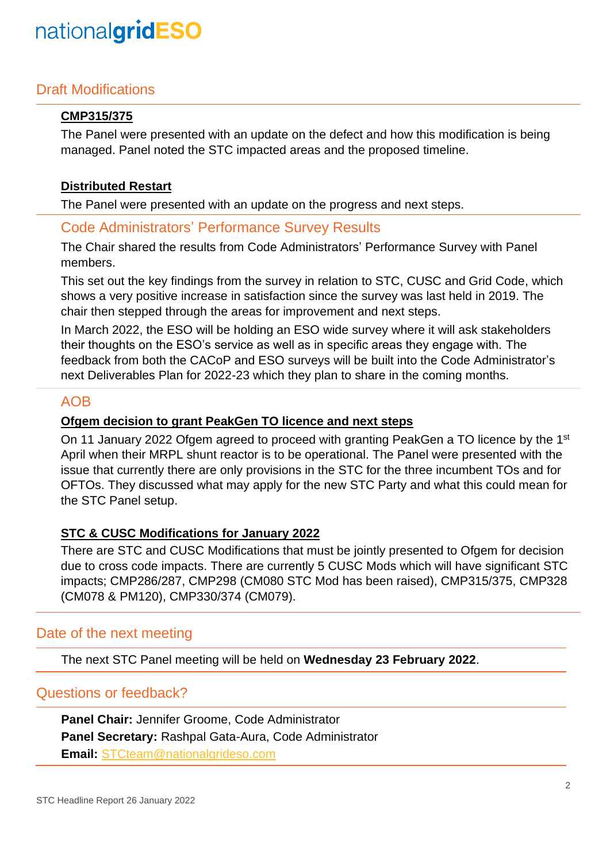# nationalgridESO

# Draft Modifications

## **CMP315/375**

The Panel were presented with an update on the defect and how this modification is being managed. Panel noted the STC impacted areas and the proposed timeline.

#### **Distributed Restart**

The Panel were presented with an update on the progress and next steps.

# Code Administrators' Performance Survey Results

The Chair shared the results from Code Administrators' Performance Survey with Panel members.

This set out the key findings from the survey in relation to STC, CUSC and Grid Code, which shows a very positive increase in satisfaction since the survey was last held in 2019. The chair then stepped through the areas for improvement and next steps.

In March 2022, the ESO will be holding an ESO wide survey where it will ask stakeholders their thoughts on the ESO's service as well as in specific areas they engage with. The feedback from both the CACoP and ESO surveys will be built into the Code Administrator's next Deliverables Plan for 2022-23 which they plan to share in the coming months.

# AOB

#### **Ofgem decision to grant PeakGen TO licence and next steps**

On 11 January 2022 Ofgem agreed to proceed with granting PeakGen a TO licence by the 1<sup>st</sup> April when their MRPL shunt reactor is to be operational. The Panel were presented with the issue that currently there are only provisions in the STC for the three incumbent TOs and for OFTOs. They discussed what may apply for the new STC Party and what this could mean for the STC Panel setup.

#### **STC & CUSC Modifications for January 2022**

There are STC and CUSC Modifications that must be jointly presented to Ofgem for decision due to cross code impacts. There are currently 5 CUSC Mods which will have significant STC impacts; CMP286/287, CMP298 (CM080 STC Mod has been raised), CMP315/375, CMP328 (CM078 & PM120), CMP330/374 (CM079).

# Date of the next meeting

The next STC Panel meeting will be held on **Wednesday 23 February 2022**.

## Questions or feedback?

**Panel Chair:** Jennifer Groome, Code Administrator **Panel Secretary:** Rashpal Gata-Aura, Code Administrator **Email:** [STCteam@nationalgrideso.com](mailto:STCteam@nationalgrideso.com)